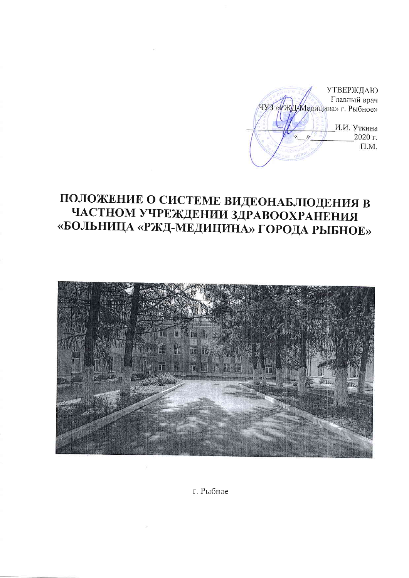**УТВЕРЖДАЮ** Главный врач Медицина» г. Рыбное» И.И. Уткина 2020 г.  $\mathcal{Y}$  $\Pi.M.$ 

# ПОЛОЖЕНИЕ О СИСТЕМЕ ВИДЕОНАБЛЮДЕНИЯ В ЧАСТНОМ УЧРЕЖДЕНИИ ЗДРАВООХРАНЕНИЯ «БОЛЬНИЦА «РЖД-МЕДИЦИНА» ГОРОДА РЫБНОЕ»



г. Рыбное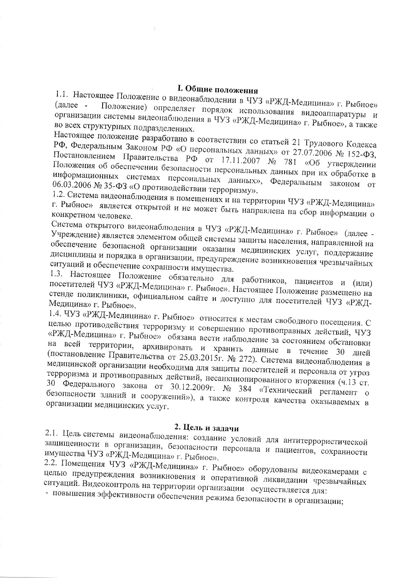### I. Общие положения

1.1. Настоящее Положение о видеонаблюдении в ЧУЗ «РЖД-Медицина» г. Рыбное» Положение) определяет порядок использования видеоаппаратуры и организации системы видеонаблюдения в ЧУЗ «РЖД-Медицина» г. Рыбное», а также во всех структурных подразделениях.

Настоящее положение разработано в соответствии со статьей 21 Трудового Кодекса РФ, Федеральным Законом РФ «О персональных данных» от 27.07.2006 № 152-ФЗ, Постановлением Правительства РФ от 17.11.2007 № 781 «Об утверждении Положения об обеспечении безопасности персональных данных при их обработке в информационных системах персональных данных», Федеральным законом от 06.03.2006 № 35-ФЗ «О противодействии терроризму».

1.2. Система видеонаблюдения в помещениях и на территории ЧУЗ «РЖД-Медицина» г. Рыбное» является открытой и не может быть направлена на сбор информации о конкретном человеке.

Система открытого видеонаблюдения в ЧУЗ «РЖД-Медицина» г. Рыбное» (далее -Учреждение) является элементом общей системы защиты населения, направленной на обеспечение безопасной организации оказания медицинских услуг, поддержание дисциплины и порядка в организации, предупреждение возникновения чрезвычайных ситуаций и обеспечение сохранности имущества.

1.3. Настоящее Положение обязательно для работников, пациентов и (или) посетителей ЧУЗ «РЖД-Медицина» г. Рыбное». Настоящее Положение размещено на стенде поликлиники, официальном сайте и доступно для посетителей ЧУЗ «РЖД-Медицина» г. Рыбное».

1.4. ЧУЗ «РЖД-Медицина» г. Рыбное» относится к местам свободного посещения. С целью противодействия терроризму и совершению противоправных действий, ЧУЗ «РЖД-Медицина» г. Рыбное» обязана вести наблюдение за состоянием обстановки на всей территории, архивировать и хранить данные в течение 30 дней (постановление Правительства от 25.03.2015г. № 272). Система видеонаблюдения в медицинской организации необходима для защиты посетителей и персонала от угроз терроризма и противоправных действий, несанкционированного вторжения (ч.13 ст. 30 Федерального закона от 30.12.2009г. № 384 «Технический регламент о безопасности зданий и сооружений»), а также контроля качества оказываемых в организации медицинских услуг.

#### 2. Цель и задачи

2.1. Цель системы видеонаблюдения: создание условий для антитеррористической защищенности в организации, безопасности персонала и пациентов, сохранности имущества ЧУЗ «РЖД-Медицина» г. Рыбное».

2.2. Помещения ЧУЗ «РЖД-Медицина» г. Рыбное» оборудованы видеокамерами с целью предупреждения возникновения и оперативной ликвидации чрезвычайных ситуаций. Видеоконтроль на территории организации осуществляется для:

- повышения эффективности обеспечения режима безопасности в организации;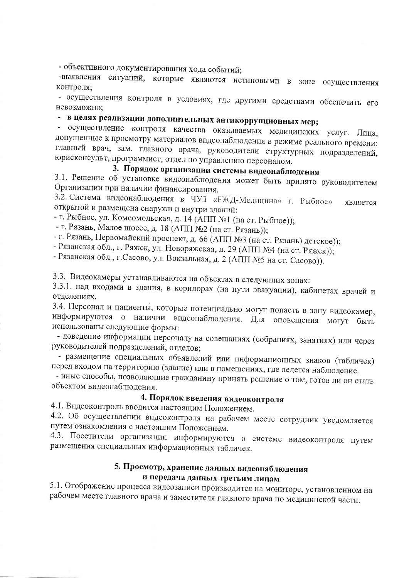- объективного документирования хода событий;

-выявления ситуаций, которые являются нетиповыми в зоне осуществления контроля;

- осуществления контроля в условиях, где другими средствами обеспечить его невозможно:

# - в целях реализации дополнительных антикоррупционных мер;

- осуществление контроля качества оказываемых медицинских услуг. Лица, допущенные к просмотру материалов видеонаблюдения в режиме реального времени: главный врач, зам. главного врача, руководители структурных подразделений, юрисконсульт, программист, отдел по управлению персоналом.

## 3. Порядок организации системы видеонаблюдения

3.1. Решение об установке видеонаблюдения может быть принято руководителем Организации при наличии финансирования.

3.2. Система видеонаблюдения в ЧУЗ «РЖД-Медицина» г. Рыбное» является открытой и размещена снаружи и внутри зданий:

- г. Рыбное, ул. Комсомольская, д. 14 (АПП №1 (на ст. Рыбное));

- г. Рязань, Малое шоссе, д. 18 (АПП №2 (на ст. Рязань));

- г. Рязань, Первомайский проспект, д. 66 (АПП №3 (на ст. Рязань) детское));

- Рязанская обл., г. Ряжск, ул. Новоряжская, д. 29 (АПП №4 (на ст. Ряжск));

- Рязанская обл., г.Сасово, ул. Вокзальная, д. 2 (АПП №5 на ст. Сасово)).

3.3. Видеокамеры устанавливаются на объектах в следующих зонах:

3.3.1. над входами в здания, в коридорах (на пути эвакуации), кабинетах врачей и отделениях.

3.4. Персонал и пациенты, которые потенциально могут попасть в зону видеокамер, информируются о наличии видеонаблюдения. Для оповещения могут быть использованы следующие формы:

- доведение информации персоналу на совещаниях (собраниях, занятиях) или через руководителей подразделений, отделов;

- размещение специальных объявлений или информационных знаков (табличек) перед входом на территорию (здание) или в помещениях, где ведется наблюдение.

- иные способы, позволяющие гражданину принять решение о том, готов ли он стать объектом видеонаблюдения.

### 4. Порядок введения видеоконтроля

4.1. Видеоконтроль вводится настоящим Положением.

4.2. Об осуществлении видеоконтроля на рабочем месте сотрудник уведомляется путем ознакомления с настоящим Положением.

4.3. Посетители организации информируются о системе видеоконтроля путем размещения специальных информационных табличек.

### 5. Просмотр, хранение данных видеонаблюдения и передача данных третьим лицам

5.1. Отображение процесса видеозаписи производится на мониторе, установленном на рабочем месте главного врача и заместителя главного врача по медицинской части.